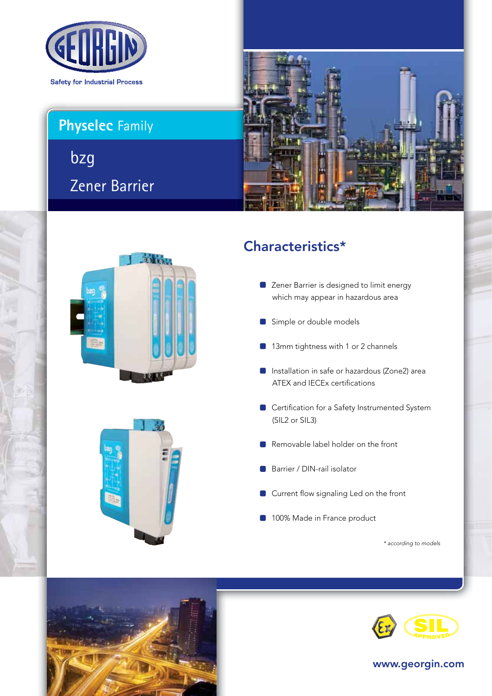

# **Physelec** Family

Zener Barrier bzg







## Characteristics\*

- **C** Zener Barrier is designed to limit energy which may appear in hazardous area
- Simple or double models
- 13mm tightness with 1 or 2 channels
- Installation in safe or hazardous (Zone2) area ATEX and IECEx certifications
- Certification for a Safety Instrumented System (SIL2 or SIL3)
- Removable label holder on the front
- Barrier / DIN-rail isolator
- Current flow signaling Led on the front
- 100% Made in France product

*\* according to models*





www.georgin.com